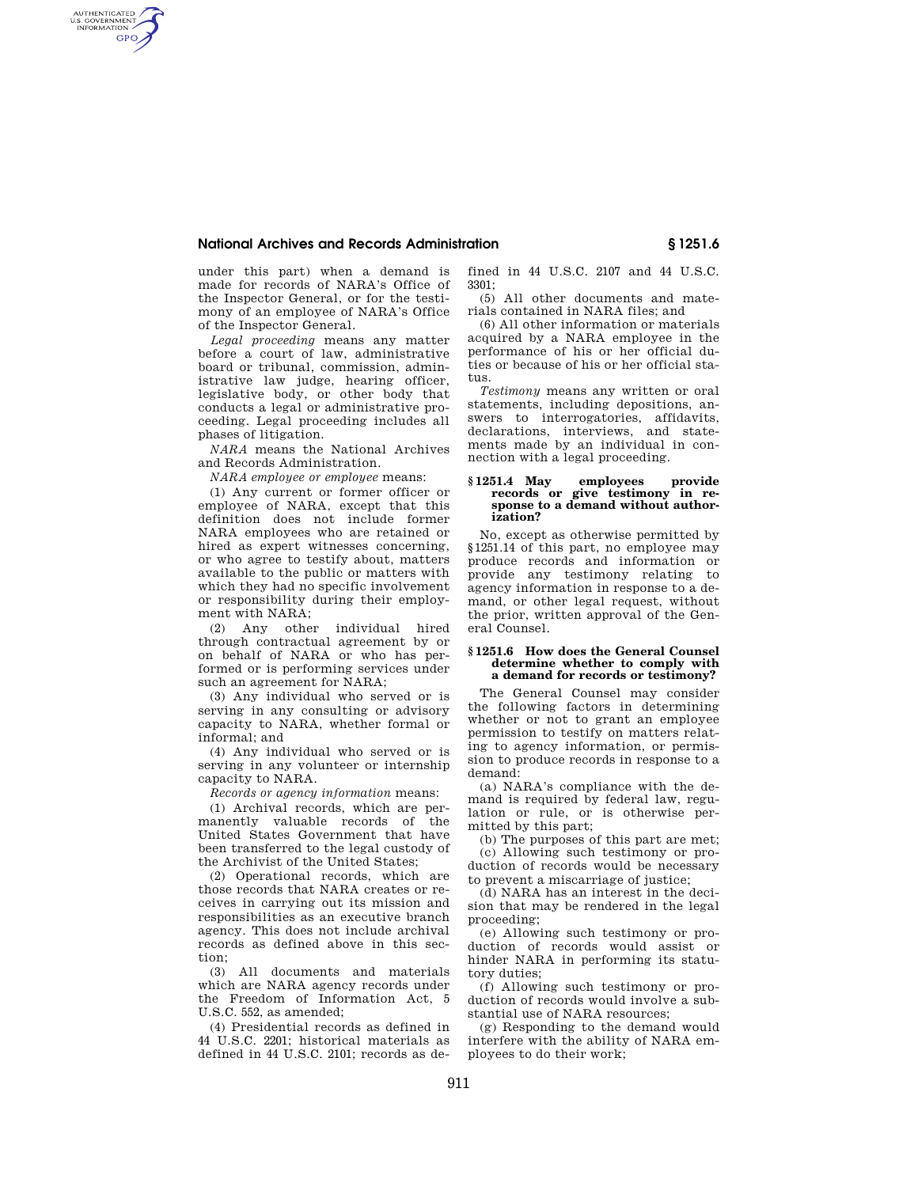# **National Archives and Records Administration § 1251.6**

under this part) when a demand is made for records of NARA's Office of the Inspector General, or for the testimony of an employee of NARA's Office of the Inspector General.

AUTHENTICATED<br>U.S. GOVERNMENT<br>INFORMATION **GPO** 

> *Legal proceeding* means any matter before a court of law, administrative board or tribunal, commission, administrative law judge, hearing officer, legislative body, or other body that conducts a legal or administrative proceeding. Legal proceeding includes all phases of litigation.

*NARA* means the National Archives and Records Administration.

*NARA employee or employee* means:

(1) Any current or former officer or employee of NARA, except that this definition does not include former NARA employees who are retained or hired as expert witnesses concerning, or who agree to testify about, matters available to the public or matters with which they had no specific involvement or responsibility during their employment with NARA;

(2) Any other individual hired through contractual agreement by or on behalf of NARA or who has performed or is performing services under such an agreement for NARA;

(3) Any individual who served or is serving in any consulting or advisory capacity to NARA, whether formal or informal; and

(4) Any individual who served or is serving in any volunteer or internship capacity to NARA.

*Records or agency information* means:

(1) Archival records, which are permanently valuable records of the United States Government that have been transferred to the legal custody of the Archivist of the United States;

(2) Operational records, which are those records that NARA creates or receives in carrying out its mission and responsibilities as an executive branch agency. This does not include archival records as defined above in this section;

(3) All documents and materials which are NARA agency records under the Freedom of Information Act, 5 U.S.C. 552, as amended;

(4) Presidential records as defined in 44 U.S.C. 2201; historical materials as defined in 44 U.S.C. 2101; records as defined in 44 U.S.C. 2107 and 44 U.S.C. 3301;

(5) All other documents and materials contained in NARA files; and

(6) All other information or materials acquired by a NARA employee in the performance of his or her official duties or because of his or her official status.

*Testimony* means any written or oral statements, including depositions, answers to interrogatories, affidavits, declarations, interviews, and statements made by an individual in connection with a legal proceeding.

### **§ 1251.4 May employees provide records or give testimony in response to a demand without authorization?**

No, except as otherwise permitted by §1251.14 of this part, no employee may produce records and information or provide any testimony relating to agency information in response to a demand, or other legal request, without the prior, written approval of the General Counsel.

### **§ 1251.6 How does the General Counsel determine whether to comply with a demand for records or testimony?**

The General Counsel may consider the following factors in determining whether or not to grant an employee permission to testify on matters relating to agency information, or permission to produce records in response to a demand:

(a) NARA's compliance with the demand is required by federal law, regulation or rule, or is otherwise permitted by this part;

(b) The purposes of this part are met; (c) Allowing such testimony or production of records would be necessary to prevent a miscarriage of justice;

(d) NARA has an interest in the decision that may be rendered in the legal proceeding;

(e) Allowing such testimony or production of records would assist or hinder NARA in performing its statutory duties;

(f) Allowing such testimony or production of records would involve a substantial use of NARA resources;

(g) Responding to the demand would interfere with the ability of NARA employees to do their work;